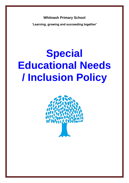**Whitnash Primary School**

**'Learning, growing and succeeding together'**

# **Special Educational Needs / Inclusion Policy**

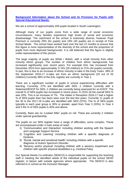**Background Information about the School and its Provision for Pupils with Special Educational Needs:**

We are a school of approximately 209 pupils located in South Leamington.

Although many of our pupils come from a wide range of social economic circumstances, many families experience high levels of social and economic disadvantage. The catchment of the school is extremely diverse, however Pupil Premium is currently 29% (61 pupils) and 19% (40 pupils) are in receipt of Free School Meals. The school have worked hard over the last 12 months to ensure that this figure is more representative of the diversity of the school and the proportion of pupils from more deprived backgrounds. It is still believed that this figure is slightly under-representative of this picture.

The large majority of pupils are White / British, with a small minority from other minority ethnic groups. The number of children from ethnic backgrounds has increased significantly over recent years. For example EAL has increased from December 2015 from approximately 17.6% (28 children) to 21% (44 pupils) currently. In part, this is due to an increase of ethnic minority in-take in the Early Years. 38% of the September 2016-17 in-take are from an ethnic background (20 out of 53 children).Currently 48% of the EAL register are currently in Year 1.

There are a significant number of pupils in school experiencing difficulties with learning. Currently, 27% are identified with SEN. 2 children currently with a Statement/EHCP for SEN, 2 children are currently being assessed for an EHCP. The overall % of SEN pupils has increased in recent years. In 2015-16 the overall SEN % was 20%. This is an increase of 7%. The intake in Reception 2016-17 had a higher % of SEN pupils than has been seen over the last few years. Currently 11 pupils of the 30 in the 2017-18 in-take are identified with SEN (37%). The % of SEN pupils typically in each year group is 30% or greater, apart from Year 3 (20%). In Year 4 and 5 the % of SEN pupils is 40% and above.

Currently, there are no 'Looked After' pupils on roll. There are currently 2 children under special guardianship.

The pupils on our SEN register have a range of difficulties, some complex. These are encompassed under 4 main areas of need:

- 1) 'Communication and Interaction' including children working with the Speech and Language Support Service
- 2) 'Cognition and Learning' including children with a specific diagnosis of Dyslexia.
- 3) 'Social, mental and emotional health' including children with a specific diagnosis of Autism Spectrum Disorder.
- 4) 'Sensory and/or physical' including children with a sensory impairment and children with specific physical disabilities e.g. Cerebral Palsy.

Our Special Needs Co-ordinator (SENCO) is responsible for supporting the teaching staff in meeting the identified needs of the individual pupils on the school SEND register, in liaison with outside agencies where appropriate. The SENCO is also referred to in school as the Inclusion Manager.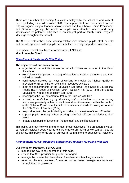There are a number of Teaching Assistants employed by the school to work with all pupils, including the children with SEND. The support staff and teachers will consult with colleagues, subject leaders, senior leaders and the schools' Thrive Practitioner and SENCo regarding the needs of pupils with identified needs and early identification of potential difficulties is an integral part of termly Pupil Progress Meetings throughout the school.

The SENCO establishes close working relationships between pupils, staff, parents and outside agencies so that pupils can be helped in a fully supportive environment.

Our Special Educational Needs Co-ordinator (SENCO) is: **Miss Louise McCourt**

# *Objectives of the School's SEN Policy:*

## **The objectives of our policy are to:**

- organise all our activities to ensure that all children are included in the life of the school
- work closely with parents, sharing information on children's progress and their individual needs
- continuously develop our ways of working to provide the highest quality of provision for all our children within the resources available
- meet the requirements of the Education Act (1996), the Special Educational Needs (SEN) Code of Practice (2014), Equality Act (2010) and the Special Educational Needs and Disability Act (2001)
- encompass the LA Statement of Policy for Children with SEN
- facilitate a pupil's learning by identifying his/her individual needs and taking steps, co-operatively with other staff, to address those needs within the context of the National Curriculum, the school curriculum as a whole, taking account of the SEN Code of Practice (2014)
- respond to particular pupils flexibly according to the nature of their difficulties
- support pupils' learning without making them feel different or inferior to their peers
- enable each pupil to become an independent and confident learner.

This policy sets out how we intend to meet these objectives. The procedures we set out will be reviewed every year to ensure that we are doing all we can to meet the objectives. This policy forms part of our overall commitment to Educational Inclusion.

# *Arrangements for Co-ordinating Educational Provision for Pupils with SEN*

# **Our Inclusion Manager / SENCO will:**

- manage the day to day operation of this policy
- ensure that SEN provision for pupils is arranged
- manage the intervention timetables of teachers and teaching assistants
- report on the effectiveness of provision to the senior management team and through them to governors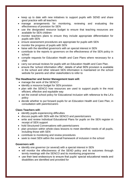- keep up to date with new initiatives to support pupils with SEND and share good practice with all teachers
- manage arrangements for monitoring, reviewing and evaluating the effectiveness of provision for SEN
- use the designated resource budget to ensure that teaching resources are available for SEN children
- monitor teachers plans to ensure they include appropriate differentiation for pupils with SEN
- ensure assessment procedures are appropriate for pupils with SEN
- monitor the progress of pupils with SEN
- liaise with the identified governor/s with an special interest in SEN
- contribute to the reports to governors on the effectiveness of the SEN policy in school
- compile requests for Education Health and Care Plans where necessary for a child
- carry out annual reviews for pupils with an Education Health and Care Plan.
- ensure the 'school information offer', details of what SEN provision is available in the school and other relevant SEN information is maintained on the school website for parents and other stakeholders to refer to

# **The Headteacher and Senior Management team will:**

- manage the work of the SENCO
- identify a resource budget for SEN provision
- plan with the SENCO how resources are used to support pupils in the most efficient, effective and equitable way
- set the overall school policy for Educational Inclusion with reference to the LA's policy
- decide whether to put forward pupils for an Education Health and Care Plan, in consultation with parents/carers

# **Class Teachers will:**

- identify pupils experiencing difficulties
- discuss pupils with SEN with the SENCO and parents/carers
- write and review Individual Educational Plans for pupils on the SEN register in receipt of SEN support
- hold Structured Conversations with parents/carers
- plan provision within whole-class lessons to meet identified needs of all pupils, including those with SEN
- contribute to monitoring and review procedures
- seek to meet SEN within the overall framework of inclusion in the school

# **Governors will:**

- identify one governor (or several) with a special interest in SEN
- will monitor the effectiveness of the SEND policy and its outcomes through termly meetings with the SENCO and its monitoring programme
- use their best endeavours to ensure that pupils' special educational needs and disabilities are identified and provided for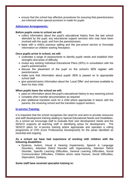ensure that the school has effective procedures for ensuring that parents/carers are informed when special provision is made for pupils

# *Admission Arrangements:*

#### **Before pupils come to school we will:**

- collect information about the pupil's educational history from the last school attended by the pupil, any educational support services who may have been involved with the pupil, and from the parents/carers.
- liaise with a child's previous setting and the pre-school service to formulate information on children starting Reception.

#### **Once pupils arrive in school, we will:**

- undertake a range of assessments to identify pupils needs and establish their strengths and areas of difficulty
- review any existing Individual Educational Plans (IEPs) in consultation with the pupil's parents/carers
- discuss the placement of the pupil on the school's SEN register with parents/carers
- make sure that information about pupils' SEN is passed on to appropriate school staff
- give parents/carers information about the 'Local Offer' and services available to them for their child.

#### **When pupils leave the school we will:**

- pass on information about the pupil's educational history to any receiving school
- complete other transfer documentation as required
- plan additional transition work for a child where appropriate in liaison with the parents, the receiving school and the transition support workers.

#### **In-service Training:**

It is important that the school recognises the need for and aims to provide resources and staff development training relating to Special Educational Needs and Disabilities. As a school we encourage staff to evaluate their own development needs and the SENCO supports all teaching staff in identifying areas for development. The SENCO plans for in-service training where appropriate and operates a rolling programme of CPD (Core Professional Development) for the areas identified as essential and ongoing.

## **As a school we have had experience of working with children with the following disabilities:**

 Dyslexia, Autism, Visual & Hearing Impairments, Speech & Language Disorders, Attention Deficit Disorder with Hyperactivity, Attention Deficit Disorder, Specific Learning Difficulties, General Learning Difficulties, Social Communication Difficulties, Children whom need Nurture, Social Difficulties, Deprivation, Epilepsy.

#### **Some staff have received specialist training in:**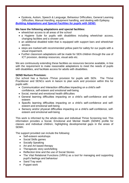Dyslexia, Autism, Speech & Language, Behaviour Difficulties, General Learning Difficulties, Manual Handling, equipment handling, and dealing with Epilepsy. *Building Adaptations and Special Facilities for pupils with SEND:*

# **We have the following adaptations and special facilities:**

- wheelchair access to all areas of the school
- a Hygiene Suite for pupils with disabilities including wheelchair access, changing facilities and a shower unit.
- an additional disabled toilet that is equipped with support bars and wheelchair access.
- steps are marked with recommended yellow paint for safety for our pupils with a visual impairment.
- Further classroom adaptations will be made for SEN children through the use of ICT provision, desktop resources, visual aids etc.

We are continuously extending these facilities as resources become available, in line with the requirement to make reasonable adaptations to meet the needs of pupils with disabilities, and facilitate access for adults with disabilities.

## **SEND Nurture Provision:**

Our school has a Nurture /Thrive provision for pupils with SEN. The Thrive Practitioner and SENCo work in liaison to plan work and provision within this for pupils with:

- Communication and Interaction difficulties impacting on a child's selfconfidence, self-esteem and emotional well-being
- Social, mental and emotional health difficulties
- General learning difficulties impacting on a child's self-confidence and selfesteem
- Specific learning difficulties impacting on a child's self-confidence and selfesteem and emotional well-being
- Sensory and/or physical difficulties impacting on a child's self-confidence, selfesteem and emotional well-being

This work is informed by the whole-class and individual Thrive Screening tool. This information provides a Social, Emotional and Mental Health (SEMH) profile for classes and individual children, highlighting developmental gaps in the areas of SEMH.

The support provided can include the following:

- Self-esteem workshops
- Social Skills games
- Socially Speaking
- Art and Art based therapy
- Therapeutic story work/telling
- Reflection time and the use of Social Stories
- The Vital Relational Functions (VRFs) as a tool for managing and supporting pupil's feelings and behaviour
- Sand Tray work
- Puppet work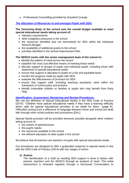• Professional Counselling provided by Snowford Grange

# *The Allocation of Resources to and amongst Pupils with SEN:*

# **The Governing Body of the school sets the overall budget available to meet special educational needs taking account of:**

- statutory requirements
- other budgetary pressures in the school
- the resources identified (but not earmarked) for SEN within the Individual School's Budget
- the availability of additional grants to the school
- priorities identified in the School Improvement Plan

# **The SENCO works with the senior management team of the school to:**

- identify the pattern of need across the school
- establish the most cost effective means of meeting these needs
- allocate support to groups of pupils and individual pupils, including those with statements of special educational needs
- ensure that support is allocated to pupils on a fair and equitable basis
- monitor the progress made by pupils with SEN
- evaluate the effectiveness of provision for SEN
- ensure that support staff, including teaching assistants, work within the framework of school policy and practice
- identify vulnerable children or families or pupils who may benefit from Early **Help**

# *Identification, Assessment, Monitoring and Review Procedures:*

We use the definition of Special Educational Needs in the SEN Code of Practice (2014): "Children have special educational needs if they have a learning difficulty which calls for special educational provision to be made for them." (page 6). Difficulties arising from a difference of language between home and school are dealt with through other school policies and procedures (EAL).

Special Needs provision will be provided wherever possible alongside other children taking account of:

- the wishes of parents/carers
- the pupil's needs
- the resources available to the school
- the efficient education of other pupils in the school

We believe that all teachers are teachers of pupils with special educational needs.

Our procedures are designed to offer a graduated response to special needs in line with the SEN Code of Practice (2014) with four stages of action:

# **1) Assess**

The identification of a child as needing SEN support is done in liaison with parents, teachers and the SENCO through an analysis of need. This initial assessment is reviewed regularly through a Structured Conversation to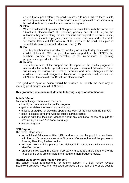ensure that support offered the child is matched to need. Where there is little or no improvement in the children progress, more specialist assessment may be called for from specialist teachers or other agencies.

#### **2) Plan**

Where it is decided to provide SEN support in consultation with the parent at a 'Structured Conversation', the teacher, parents and SENCO agree the outcomes they are seeking, the interventions and support to be put in place, the expected impact on progress, development or behaviour, and a clear date for review. Plans will take account of the views of the child. This plan is formulated into an Individual Education Plan (IEP)

#### **3) Do**

The key teacher is responsible for working on a day-to-day basis with the child to deliver the SEN support plan. With support from the SENCO, the teachers oversee the implementation of the interventions or learning programmes agreed in the plan.

# **4) Review**

The effectiveness of the support and its impact on the child's progress is reviewed in line with the agreed date on the plan. Individual Educational Plans will usually be reviewed in October, February and June. Changes and the child's next steps will be agreed in liaison with the parents, child, teacher and SENCO in the context of a 'Structured Conversation'.

This graduated cycle of action should be revisited, to identify the best way of securing good progress for all SEN pupils.

#### **This graduated response includes the following stages of identification:**

#### **Teacher Action**

An informal stage where class teachers:

- identify a concern about a pupil's progress
- gather available information about the pupil
- discuss strategies for providing appropriate work for the pupil with the SENCO
- seek to discuss concerns with the pupil's parents/carers
- discuss with the Inclusion Manager about any additional needs of pupils for whom English is an Additional Language
- review progress

#### **SEN Support**

The formal stage where:

- an Individual Educational Plan (IEP) is drawn up for the pupil, in consultation with the pupil's parents/carers at a Structured Conversation and the process of Assess, Plan, Do , Review begins.
- invention work will be planned and delivered in accordance with the child's identified targets.
- progress is reviewed in October, February and June and more often where the needs of the child are significant and require a more frequent review.

#### **Internal category of SEN Agency Support**

The school makes arrangements for agency support if a SEN review reveals insufficient progress / less than expected progress on the part of the pupil, despite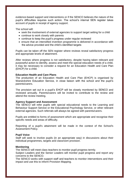evidence-based support and interventions or if the SENCO believes the nature of the pupil's difficulties requires such action. The school's internal SEN register takes account of pupils in receipt of agency support.

The school will:

- seek the involvement of external agencies to support target setting for a child
- continue to work closely with parents
- continue to keep the pupil's progress under regular reviewed
- ensure that an intensified invention programme is delivered in accordance with the advice provided and the child's identified targets

Pupils can be taken off the SEN register where reviews reveal satisfactory progress and appropriate levels of attainment.

After reviews where progress is not satisfactory, despite having taken relevant and purposeful action to identify, assess and meet the special education needs of a child, it may be necessary to consider a request for an Education Health and Care Plan (EHCP) for a child.

#### **Education Health and Care Plans**

The production of an Education Health and Care Plan (EHCP) is organised by Warwickshire Education Service, in close liaison with the school and the pupil's parents/carers.

The provision set out in a pupil's EHCP will be closely monitored by SENCO and reviewed annually. Parents/carers will be invited to contribute to the review and attend the review meeting.

#### **Agency Support and Assessment**

The SENCO will refer pupils with special educational needs to the Learning and Behaviour Support Service or the Educational Psychology Service, or other relevant external agencies. Such referrals will always be agreed with parents/carers.

Pupils are entitled to forms of assessment which are appropriate and recognise their specific needs and areas of difficulty.

Reporting of a pupil's attainment will be made in the context of the School's Assessment Policy.

#### **Pupil Voice**

Staff will seek to involve pupils (in an appropriate way) in discussions about their individual programmes, targets and classroom provision.

#### **Monitoring**

The SENCO will meet class teachers to monitor pupil progress termly.

Subject Leaders and the Senior Leaders will monitor pupil progress and report any concerns to the SENCO.

The SENCO works with support staff and teachers to monitor interventions and their impact and use this to inform Provision Mapping.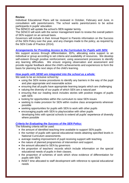## **Review**

Individual Educational Plans will be reviewed in October, February and June, in consultation with parents/carers. The school wants parents/carers to be active participants in pupils' education.

The SENCO will update the school's SEN register termly.

The SENCO will work with the senior management team to review the overall pattern of SEN support on an annual basis.

Governors will include in their Annual Report to Parents information on the Success of the SEN Policy over the year, and any changes made to the policy, as required by the SEN Code of Practice (2014).

# *Arrangements for Providing Access to the Curriculum for Pupils with SEN:*

We support access through differentiation, IEPs, allocating extra support to an individual or group according to set criteria and availability of resources. We develop self-esteem through positive reinforcement, using assessment processes to identify any learning difficulties. We ensure ongoing observation and assessment and provide regular feedback about the child's achievements and experiences to form the basis for planning the next steps of the child's learning.

# *How pupils with SEND are integrated into the school as a whole:*

We seek to be an inclusive school by:

- using the SEN review procedures to identify any barriers in the way of the pupil and plan appropriate and reasonable action
- ensuring that all pupils have appropriate learning targets which are challenging
- valuing the diversity of our pupils of which SEN are a natural part
- ensuring that our reading stock includes stories with positive images of pupils with SEN
- looking for opportunities within the curriculum to raise SEN issues
- seeking to make provision for SEN within routine class arrangements wherever possible
- seeking opportunities for pupils with SEN to work with other pupils
- encouraging pupils with SEN to play/socialise with other pupils developing links with special schools to extend all pupils' experience of diversity where possible

# *Criteria for Evaluating the Success of the SEN Policy:*

The following criteria will be used:

- the amount of identified teaching time available to support SEN pupils
- the number of pupils with special educational needs attaining specified levels in National Curriculum assessments.
- average reading improvement of pupil receiving support with teaching.
- the nature of planned programmes of intervention and support.
- the amount allocated to SEN by governors
- the proportion of teachers' records which include information on the special educational needs of pupils in their classes.
- the proportion of schemes of work which show evidence of differentiation for pupils with SEN
- INSET time allocated to staff development with reference to special educational needs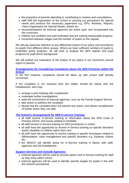- the proportion of parents attending or contributing to reviews and consultations
- staff fulfil the expectation of the school in carrying out procedures for special needs and produce the necessary paperwork e.g. IEPs, Reviews, Reports, Class Organisation for Special Needs, sheets etc.
- recommendations by external agencies are acted upon and incorporated into the curriculum.
- children are confident and well-motivated and are making measurable progress
- movement between stages and the number of pupils on the register.

We will pay particular attention to any differential impact of our policy and procedures on pupils from different ethnic groups. Where we have sufficient numbers of pupils to undertake group analyses, we will seek to analyse the SEN register and pupil progress by pupil ethnic background.

We will publish our evaluation of the impact of our policy in our Governors annual report to parents.

# *Arrangements for Considering Complaints about the SEN Provision within the School*

In the first instance, complaints should be taken up with school staff directly concerned.

If the complaint is not resolved then the matter should be raised with the Headteacher, who may:

- arrange a joint meeting with complainant
- undertake further investigations
- seek the involvement of external agencies, such as the Family Support Service
- take action to address the complaint
- decide that the complaint does not warrant any action, and advise complainants of further action they can take

# *The School's Arrangements for SEN In-service Training:*

- all staff receive In-Service training or information about the SEN Code of Practice (2014), and issues relating to Disability
- all staff receive In-Service training on SEN procedures in school
- all staff have the opportunity to receive In-Service training on specific disorders and/or disability of children within their care
- all staff have the opportunity to receive training in specific techniques related to differentiation, class management and specific disorders e.g. Dyslexia, Autism etc.
- the SENCO will identify areas for In-Service training in liaison with staff, agencies and the headteacher.

# *Support Services and Outside Agencies:*

- external agencies will be used to provide advice and In-Service training for staff as they arise within school
- external agencies will be used to identify specific targets for pupils in line with the school's procedures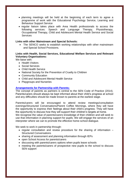- planning meetings will be held at the beginning of each term to agree a programme of work with the Educational Psychology Service, Learning and Behaviour Support Service
- regular liaison takes place with Area Health professionals to access the following services: Speech and Language Therapy, Physiotherapy, Occupational Therapy, Child and Adolescent Mental Health Service and Social **Services**

#### **Links with other Mainstream and Special Schools:**

• The SENCO seeks to establish working relationships with other mainstream and Special School Provisions.

# **Links with Health, Social Services, Educational Welfare Services and Relevant Voluntary Organisations:**

We liaise with:

- Health Visitors
- Social Services
- Child Health Service
- National Society for the Prevention of Cruelty to Children
- Community Education
- Child and Adolescent Mental Health Service
- Playgroups and Nurseries

# **Arrangements for Partnership with Parents:**

The concept of parents as partners is central to the SEN Code of Practice (2014). Parents/carers should always be kept informed about their child's progress at school and any difficulties should be made known to parents at the earliest stage.

Parents/carers will be encouraged to attend review meetings/consultation evenings/Structured Conversations/Parent Coffee Mornings, where they will have the opportunity to express their feelings about their child's progress. They will have the opportunity to discuss how they will support their children's targets at home.

We recognise the value of parents/carers knowledge of their children and will seek to use that information in planning support for pupils. We will engage the services of an interpreter where we can to promote the effective home-school dialogue.

We seek to work in partnership through:

- regular consultation and review procedure for the sharing of information  $-$ Structured Conversations
- sharing of assessment and planning information through IEPs
- open School Access for parents/carers
- discussing with parents/carers options when pupils leave schools
- meeting the parents/carers of prospective new pupils to the school to discuss SEN support